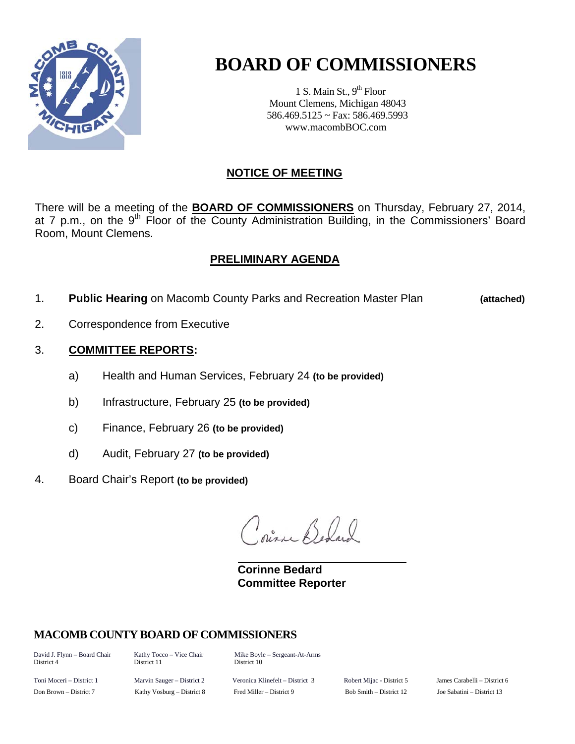

# **BOARD OF COMMISSIONERS**

1 S. Main St.,  $9<sup>th</sup>$  Floor Mount Clemens, Michigan 48043 586.469.5125 ~ Fax: 586.469.5993 www.macombBOC.com

#### **NOTICE OF MEETING**

There will be a meeting of the **BOARD OF COMMISSIONERS** on Thursday, February 27, 2014, at 7 p.m., on the 9<sup>th</sup> Floor of the County Administration Building, in the Commissioners' Board Room, Mount Clemens.

#### **PRELIMINARY AGENDA**

1. **Public Hearing** on Macomb County Parks and Recreation Master Plan **(attached)** 

- 2. Correspondence from Executive
- 3. **COMMITTEE REPORTS:** 
	- a) Health and Human Services, February 24 **(to be provided)**
	- b) Infrastructure, February 25 **(to be provided)**
	- c) Finance, February 26 **(to be provided)**
	- d) Audit, February 27 **(to be provided)**
- 4. Board Chair's Report **(to be provided)**

Dias Before

 **Corinne Bedard Committee Reporter** 

#### **MACOMB COUNTY BOARD OF COMMISSIONERS**

District 4 District 11 District 10

David J. Flynn – Board Chair Kathy Tocco – Vice Chair Mike Boyle – Sergeant-At-Arms

Toni Moceri – District 1 Marvin Sauger – District 2 Veronica Klinefelt – District 3 Robert Mijac - District 5 James Carabelli – District 6 Don Brown – District 7 Kathy Vosburg – District 8 Fred Miller – District 9 Bob Smith – District 12 Joe Sabatini – District 13